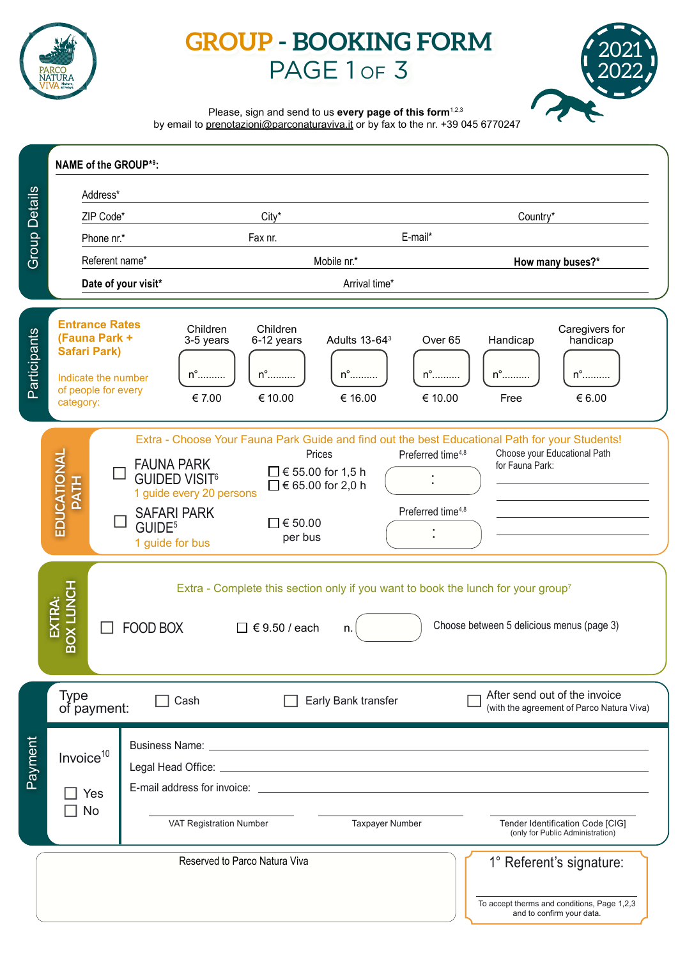

# **GROUP - BOOKING FORM** PAGE 1 or 3



Please, sign and send to us **every page of this form**<sup>1,2,3</sup>

by email to prenotazioni@parconaturaviva.it or by fax to the nr. +39 045 6770247

|                                                                                                                                       | <b>NAME of the GROUP*9:</b>                                                                                                                                                                                                                                                                                                                                                                                                                                                                             |  |                                                |                                                  |                                                     |                                              |                                                                            |                                                                      |
|---------------------------------------------------------------------------------------------------------------------------------------|---------------------------------------------------------------------------------------------------------------------------------------------------------------------------------------------------------------------------------------------------------------------------------------------------------------------------------------------------------------------------------------------------------------------------------------------------------------------------------------------------------|--|------------------------------------------------|--------------------------------------------------|-----------------------------------------------------|----------------------------------------------|----------------------------------------------------------------------------|----------------------------------------------------------------------|
| <b>Group Details</b>                                                                                                                  | Address*                                                                                                                                                                                                                                                                                                                                                                                                                                                                                                |  |                                                |                                                  |                                                     |                                              |                                                                            |                                                                      |
|                                                                                                                                       | ZIP Code*                                                                                                                                                                                                                                                                                                                                                                                                                                                                                               |  | City*                                          |                                                  |                                                     | Country*                                     |                                                                            |                                                                      |
|                                                                                                                                       | Phone nr.*                                                                                                                                                                                                                                                                                                                                                                                                                                                                                              |  | Fax nr.                                        |                                                  | E-mail*                                             |                                              |                                                                            |                                                                      |
|                                                                                                                                       | Referent name*                                                                                                                                                                                                                                                                                                                                                                                                                                                                                          |  | Mobile nr.*                                    |                                                  |                                                     | How many buses?*                             |                                                                            |                                                                      |
|                                                                                                                                       | Date of your visit*                                                                                                                                                                                                                                                                                                                                                                                                                                                                                     |  | Arrival time*                                  |                                                  |                                                     |                                              |                                                                            |                                                                      |
| Participants                                                                                                                          | <b>Entrance Rates</b><br>(Fauna Park +<br><b>Safari Park)</b><br>Indicate the number<br>of people for every<br>category:                                                                                                                                                                                                                                                                                                                                                                                |  | Children<br>3-5 years<br>$n^{\circ}$<br>€ 7.00 | Children<br>6-12 years<br>$n^{\circ}$<br>€ 10.00 | Adults 13-64 <sup>3</sup><br>$n^{\circ}$<br>€ 16.00 | Over <sub>65</sub><br>$n^{\circ}$<br>€ 10.00 | Handicap<br>$n^{\circ}$<br>Free                                            | Caregivers for<br>handicap<br>$n^{\circ}$<br>€ 6.00                  |
|                                                                                                                                       | Extra - Choose Your Fauna Park Guide and find out the best Educational Path for your Students!<br>EDUCATIONAL<br>Choose your Educational Path<br>Prices<br>Preferred time <sup>4,8</sup><br><b>FAUNA PARK</b><br>for Fauna Park:<br>$\Box$ € 55.00 for 1,5 h<br><b>GUIDED VISIT<sup>6</sup></b><br><b>PATH</b><br>$\Box$ € 65.00 for 2,0 h<br>1 guide every 20 persons<br>Preferred time <sup>4,8</sup><br><b>SAFARI PARK</b><br>$\Box$ $\in$ 50.00<br>GUIDE <sup>5</sup><br>per bus<br>1 guide for bus |  |                                                |                                                  |                                                     |                                              |                                                                            |                                                                      |
|                                                                                                                                       | <b>HONITI XOB</b><br>Extra - Complete this section only if you want to book the lunch for your group <sup>7</sup><br>EXTRA:<br>Choose between 5 delicious menus (page 3)<br><b>FOOD BOX</b><br>$\Box$ € 9.50 / each<br>n.                                                                                                                                                                                                                                                                               |  |                                                |                                                  |                                                     |                                              |                                                                            |                                                                      |
|                                                                                                                                       | Type<br>Cash<br>of payment:                                                                                                                                                                                                                                                                                                                                                                                                                                                                             |  |                                                | Early Bank transfer                              |                                                     |                                              | After send out of the invoice<br>(with the agreement of Parco Natura Viva) |                                                                      |
| Payment                                                                                                                               | Invoice <sup>10</sup><br>E-mail address for invoice: Letter and the state of the state of the state of the state of the state of the state of the state of the state of the state of the state of the state of the state of the state of the state of t<br>Yes<br>No<br>VAT Registration Number                                                                                                                                                                                                         |  |                                                |                                                  | <b>Taxpayer Number</b>                              |                                              |                                                                            | Tender Identification Code [CIG]<br>(only for Public Administration) |
| Reserved to Parco Natura Viva<br>1° Referent's signature:<br>To accept therms and conditions, Page 1,2,3<br>and to confirm your data. |                                                                                                                                                                                                                                                                                                                                                                                                                                                                                                         |  |                                                |                                                  |                                                     |                                              |                                                                            |                                                                      |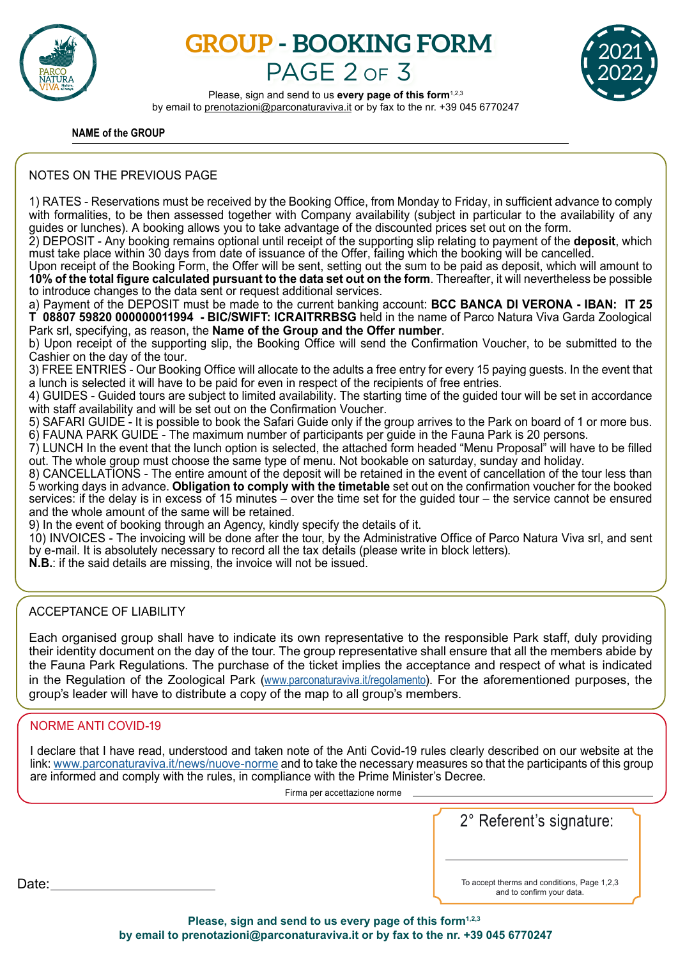

# **GROUP - BOOKING FORM** PAGE 2 OF 3



Please, sign and send to us **every page of this form**<sup>1,2,3</sup> by email to prenotazioni@parconaturaviva.it or by fax to the nr. +39 045 6770247

### **NAME of the GROUP**

## NOTES ON THE PREVIOUS PAGE

1) RATES - Reservations must be received by the Booking Office, from Monday to Friday, in sufficient advance to comply with formalities, to be then assessed together with Company availability (subject in particular to the availability of any guides or lunches). A booking allows you to take advantage of the discounted prices set out on the form.

2) DEPOSIT - Any booking remains optional until receipt of the supporting slip relating to payment of the **deposit**, which must take place within 30 days from date of issuance of the Offer, failing which the booking will be cancelled.

Upon receipt of the Booking Form, the Offer will be sent, setting out the sum to be paid as deposit, which will amount to **10% of the total figure calculated pursuant to the data set out on the form**. Thereafter, it will nevertheless be possible to introduce changes to the data sent or request additional services.

a) Payment of the DEPOSIT must be made to the current banking account: **BCC BANCA DI VERONA - IBAN: IT 25 T 08807 59820 000000011994 - BIC/SWIFT: ICRAITRRBSG** held in the name of Parco Natura Viva Garda Zoological Park srl, specifying, as reason, the **Name of the Group and the Offer number**.

b) Upon receipt of the supporting slip, the Booking Office will send the Confirmation Voucher, to be submitted to the Cashier on the day of the tour.

3) FREE ENTRIES - Our Booking Office will allocate to the adults a free entry for every 15 paying guests. In the event that a lunch is selected it will have to be paid for even in respect of the recipients of free entries.

4) GUIDES - Guided tours are subject to limited availability. The starting time of the guided tour will be set in accordance with staff availability and will be set out on the Confirmation Voucher.

5) SAFARI GUIDE - It is possible to book the Safari Guide only if the group arrives to the Park on board of 1 or more bus. 6) FAUNA PARK GUIDE - The maximum number of participants per guide in the Fauna Park is 20 persons.

7) LUNCH In the event that the lunch option is selected, the attached form headed "Menu Proposal" will have to be filled out. The whole group must choose the same type of menu. Not bookable on saturday, sunday and holiday.

8) CANCELLATIONS - The entire amount of the deposit will be retained in the event of cancellation of the tour less than 5 working days in advance. **Obligation to comply with the timetable** set out on the confirmation voucher for the booked services: if the delay is in excess of 15 minutes – over the time set for the guided tour – the service cannot be ensured and the whole amount of the same will be retained.

9) In the event of booking through an Agency, kindly specify the details of it.

10) INVOICES - The invoicing will be done after the tour, by the Administrative Office of Parco Natura Viva srl, and sent by e-mail. It is absolutely necessary to record all the tax details (please write in block letters).

**N.B.**: if the said details are missing, the invoice will not be issued.

## ACCEPTANCE OF LIABILITY

Each organised group shall have to indicate its own representative to the responsible Park staff, duly providing their identity document on the day of the tour. The group representative shall ensure that all the members abide by the Fauna Park Regulations. The purchase of the ticket implies the acceptance and respect of what is indicated in the Regulation of the Zoological Park (www.parconaturaviva.it/regolamento). For the aforementioned purposes, the group's leader will have to distribute a copy of the map to all group's members.

## NORME ANTI COVID-19

I declare that I have read, understood and taken note of the Anti Covid-19 rules clearly described on our website at the link: www.parconaturaviva.it/news/nuove-norme and to take the necessary measures so that the participants of this group are informed and comply with the rules, in compliance with the Prime Minister's Decree.

Firma per accettazione norme

2° Referent's signature:

and to confirm your data.

Date: To accept therms and conditions, Page 1,2,3

Please, sign and send to us every page of this form<sup>1,2,3</sup>  **by email to prenotazioni@parconaturaviva.it or by fax to the nr. +39 045 6770247**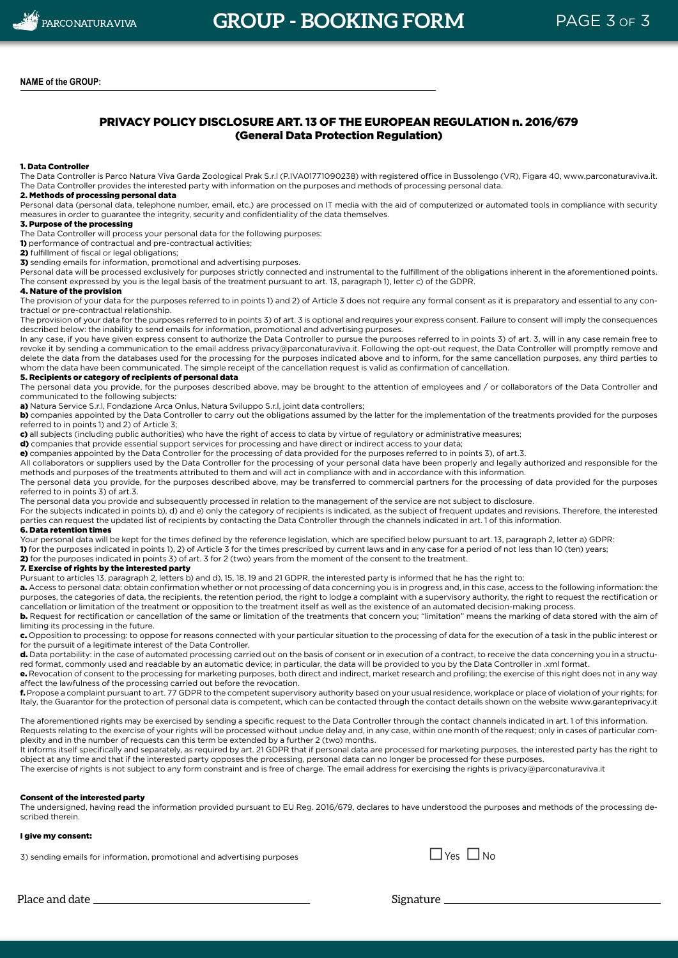### PRIVACY POLICY DISCLOSURE ART. 13 OF THE EUROPEAN REGULATION n. 2016/679 (General Data Protection Regulation)

#### 1. Data Controller

The Data Controller is Parco Natura Viva Garda Zoological Prak S.r.l (P.IVA01771090238) with registered office in Bussolengo (VR), Figara 40, www.parconaturaviva.it. The Data Controller provides the interested party with information on the purposes and methods of processing personal data.

#### 2. Methods of processing personal data

Personal data (personal data, telephone number, email, etc.) are processed on IT media with the aid of computerized or automated tools in compliance with security measures in order to guarantee the integrity, security and confidentiality of the data themselves.

#### 3. Purpose of the processing

The Data Controller will process your personal data for the following purposes:

1) performance of contractual and pre-contractual activities;

2) fulfillment of fiscal or legal obligations;

3) sending emails for information, promotional and advertising purposes.

Personal data will be processed exclusively for purposes strictly connected and instrumental to the fulfillment of the obligations inherent in the aforementioned points. The consent expressed by you is the legal basis of the treatment pursuant to art. 13, paragraph 1), letter c) of the GDPR.

#### 4. Nature of the provision

The provision of your data for the purposes referred to in points 1) and 2) of Article 3 does not require any formal consent as it is preparatory and essential to any contractual or pre-contractual relationship.

The provision of your data for the purposes referred to in points 3) of art. 3 is optional and requires your express consent. Failure to consent will imply the consequences described below: the inability to send emails for information, promotional and advertising purposes.

In any case, if you have given express consent to authorize the Data Controller to pursue the purposes referred to in points 3) of art. 3, will in any case remain free to revoke it by sending a communication to the email address privacy@parconaturaviva.it. Following the opt-out request, the Data Controller will promptly remove and delete the data from the databases used for the processing for the purposes indicated above and to inform, for the same cancellation purposes, any third parties to whom the data have been communicated. The simple receipt of the cancellation request is valid as confirmation of cancellation.

#### 5. Recipients or category of recipients of personal data

The personal data you provide, for the purposes described above, may be brought to the attention of employees and / or collaborators of the Data Controller and communicated to the following subjects:

a) Natura Service S.r.l, Fondazione Arca Onlus, Natura Sviluppo S.r.l, joint data controllers;

b) companies appointed by the Data Controller to carry out the obligations assumed by the latter for the implementation of the treatments provided for the purposes referred to in points 1) and 2) of Article 3;

c) all subjects (including public authorities) who have the right of access to data by virtue of regulatory or administrative measures;

d) companies that provide essential support services for processing and have direct or indirect access to your data;

e) companies appointed by the Data Controller for the processing of data provided for the purposes referred to in points 3), of art.3.

All collaborators or suppliers used by the Data Controller for the processing of your personal data have been properly and legally authorized and responsible for the methods and purposes of the treatments attributed to them and will act in compliance with and in accordance with this information.

The personal data you provide, for the purposes described above, may be transferred to commercial partners for the processing of data provided for the purposes referred to in points 3) of art.3.

The personal data you provide and subsequently processed in relation to the management of the service are not subject to disclosure.

For the subjects indicated in points b), d) and e) only the category of recipients is indicated, as the subject of frequent updates and revisions. Therefore, the interested parties can request the updated list of recipients by contacting the Data Controller through the channels indicated in art. 1 of this information.

#### 6. Data retention times

Your personal data will be kept for the times defined by the reference legislation, which are specified below pursuant to art. 13, paragraph 2, letter a) GDPR:

1) for the purposes indicated in points 1), 2) of Article 3 for the times prescribed by current laws and in any case for a period of not less than 10 (ten) years;

2) for the purposes indicated in points 3) of art. 3 for 2 (two) years from the moment of the consent to the treatment.

#### 7. Exercise of rights by the interested party

Pursuant to articles 13, paragraph 2, letters b) and d), 15, 18, 19 and 21 GDPR, the interested party is informed that he has the right to:

a. Access to personal data: obtain confirmation whether or not processing of data concerning you is in progress and, in this case, access to the following information: the purposes, the categories of data, the recipients, the retention period, the right to lodge a complaint with a supervisory authority, the right to request the rectification or cancellation or limitation of the treatment or opposition to the treatment itself as well as the existence of an automated decision-making process.

b. Request for rectification or cancellation of the same or limitation of the treatments that concern you; "limitation" means the marking of data stored with the aim of limiting its processing in the future.

c. Opposition to processing: to oppose for reasons connected with your particular situation to the processing of data for the execution of a task in the public interest or for the pursuit of a legitimate interest of the Data Controller.

d. Data portability: in the case of automated processing carried out on the basis of consent or in execution of a contract, to receive the data concerning you in a structured format, commonly used and readable by an automatic device; in particular, the data will be provided to you by the Data Controller in .xml format.

e. Revocation of consent to the processing for marketing purposes, both direct and indirect, market research and profiling; the exercise of this right does not in any way affect the lawfulness of the processing carried out before the revocation.

f. Propose a complaint pursuant to art. 77 GDPR to the competent supervisory authority based on your usual residence, workplace or place of violation of your rights; for Italy, the Guarantor for the protection of personal data is competent, which can be contacted through the contact details shown on the website www.garanteprivacy.it

The aforementioned rights may be exercised by sending a specific request to the Data Controller through the contact channels indicated in art. 1 of this information. Requests relating to the exercise of your rights will be processed without undue delay and, in any case, within one month of the request; only in cases of particular complexity and in the number of requests can this term be extended by a further 2 (two) months.

It informs itself specifically and separately, as required by art. 21 GDPR that if personal data are processed for marketing purposes, the interested party has the right to object at any time and that if the interested party opposes the processing, personal data can no longer be processed for these purposes.

The exercise of rights is not subject to any form constraint and is free of charge. The email address for exercising the rights is privacy@parconaturaviva.it

#### Consent of the interested party

The undersigned, having read the information provided pursuant to EU Reg. 2016/679, declares to have understood the purposes and methods of the processing described therein.

#### I give my consent:

3) sending emails for information, promotional and advertising purposes  $\square$  Yes  $\square$  No



Place and date Signature